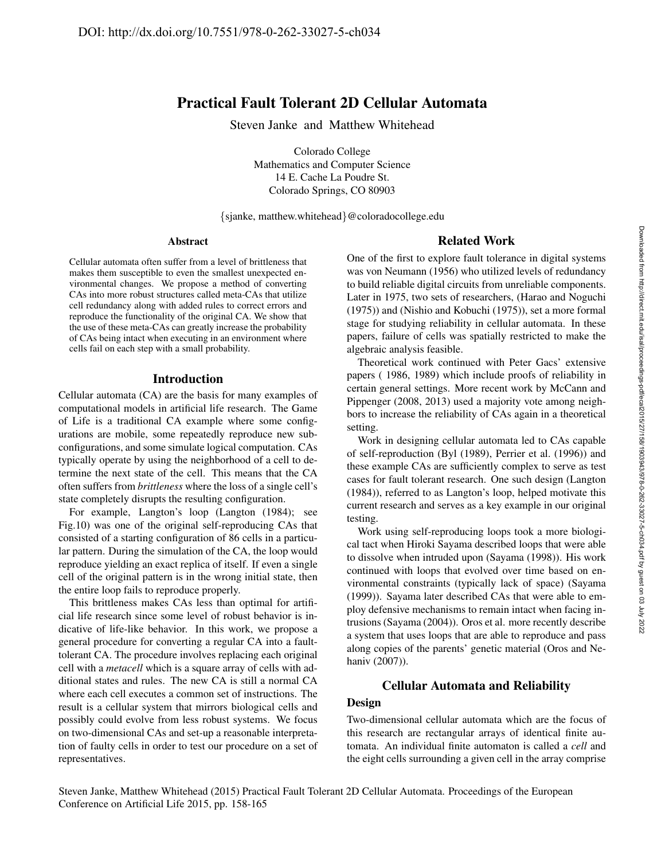# Practical Fault Tolerant 2D Cellular Automata

Steven Janke and Matthew Whitehead

Colorado College Mathematics and Computer Science 14 E. Cache La Poudre St. Colorado Springs, CO 80903

{sjanke, matthew.whitehead}@coloradocollege.edu

#### Abstract

Cellular automata often suffer from a level of brittleness that makes them susceptible to even the smallest unexpected environmental changes. We propose a method of converting CAs into more robust structures called meta-CAs that utilize cell redundancy along with added rules to correct errors and reproduce the functionality of the original CA. We show that the use of these meta-CAs can greatly increase the probability of CAs being intact when executing in an environment where cells fail on each step with a small probability.

# Introduction

Cellular automata (CA) are the basis for many examples of computational models in artificial life research. The Game of Life is a traditional CA example where some configurations are mobile, some repeatedly reproduce new subconfigurations, and some simulate logical computation. CAs typically operate by using the neighborhood of a cell to determine the next state of the cell. This means that the CA often suffers from *brittleness* where the loss of a single cell's state completely disrupts the resulting configuration.

For example, Langton's loop (Langton (1984); see Fig.10) was one of the original self-reproducing CAs that consisted of a starting configuration of 86 cells in a particular pattern. During the simulation of the CA, the loop would reproduce yielding an exact replica of itself. If even a single cell of the original pattern is in the wrong initial state, then the entire loop fails to reproduce properly.

This brittleness makes CAs less than optimal for artificial life research since some level of robust behavior is indicative of life-like behavior. In this work, we propose a general procedure for converting a regular CA into a faulttolerant CA. The procedure involves replacing each original cell with a *metacell* which is a square array of cells with additional states and rules. The new CA is still a normal CA where each cell executes a common set of instructions. The result is a cellular system that mirrors biological cells and possibly could evolve from less robust systems. We focus on two-dimensional CAs and set-up a reasonable interpretation of faulty cells in order to test our procedure on a set of representatives.

## Related Work

One of the first to explore fault tolerance in digital systems was von Neumann (1956) who utilized levels of redundancy to build reliable digital circuits from unreliable components. Later in 1975, two sets of researchers, (Harao and Noguchi (1975)) and (Nishio and Kobuchi (1975)), set a more formal stage for studying reliability in cellular automata. In these papers, failure of cells was spatially restricted to make the algebraic analysis feasible.

Theoretical work continued with Peter Gacs' extensive papers ( 1986, 1989) which include proofs of reliability in certain general settings. More recent work by McCann and Pippenger (2008, 2013) used a majority vote among neighbors to increase the reliability of CAs again in a theoretical setting.

Work in designing cellular automata led to CAs capable of self-reproduction (Byl (1989), Perrier et al. (1996)) and these example CAs are sufficiently complex to serve as test cases for fault tolerant research. One such design (Langton (1984)), referred to as Langton's loop, helped motivate this current research and serves as a key example in our original testing.

Work using self-reproducing loops took a more biological tact when Hiroki Sayama described loops that were able to dissolve when intruded upon (Sayama (1998)). His work continued with loops that evolved over time based on environmental constraints (typically lack of space) (Sayama (1999)). Sayama later described CAs that were able to employ defensive mechanisms to remain intact when facing intrusions (Sayama (2004)). Oros et al. more recently describe a system that uses loops that are able to reproduce and pass along copies of the parents' genetic material (Oros and Nehaniv (2007)).

## Cellular Automata and Reliability

## Design

Two-dimensional cellular automata which are the focus of this research are rectangular arrays of identical finite automata. An individual finite automaton is called a *cell* and the eight cells surrounding a given cell in the array comprise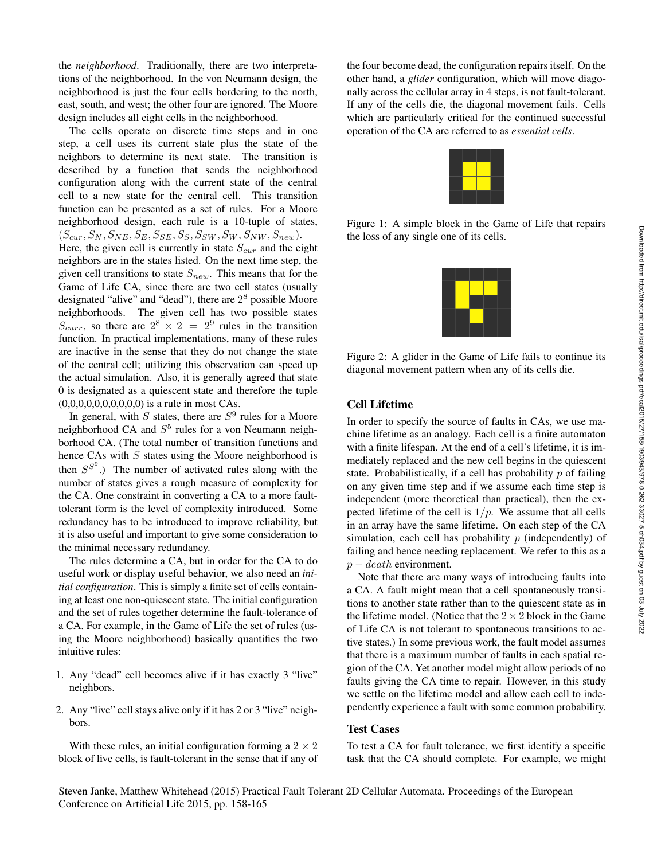the *neighborhood*. Traditionally, there are two interpretations of the neighborhood. In the von Neumann design, the neighborhood is just the four cells bordering to the north, east, south, and west; the other four are ignored. The Moore design includes all eight cells in the neighborhood.

The cells operate on discrete time steps and in one step, a cell uses its current state plus the state of the neighbors to determine its next state. The transition is described by a function that sends the neighborhood configuration along with the current state of the central cell to a new state for the central cell. This transition function can be presented as a set of rules. For a Moore neighborhood design, each rule is a 10-tuple of states,  $(S_{cur}, S_N, S_{NE}, S_E, S_{SE}, S_S, S_{SW}, S_W, S_{NW}, S_{new}).$ Here, the given cell is currently in state  $S_{cur}$  and the eight neighbors are in the states listed. On the next time step, the given cell transitions to state  $S_{new}$ . This means that for the Game of Life CA, since there are two cell states (usually designated "alive" and "dead"), there are 2<sup>8</sup> possible Moore neighborhoods. The given cell has two possible states  $S_{curr}$ , so there are  $2^8 \times 2 = 2^9$  rules in the transition function. In practical implementations, many of these rules are inactive in the sense that they do not change the state of the central cell; utilizing this observation can speed up the actual simulation. Also, it is generally agreed that state 0 is designated as a quiescent state and therefore the tuple  $(0,0,0,0,0,0,0,0,0,0)$  is a rule in most CAs.

In general, with S states, there are  $S^9$  rules for a Moore neighborhood CA and  $S<sup>5</sup>$  rules for a von Neumann neighborhood CA. (The total number of transition functions and hence CAs with S states using the Moore neighborhood is then  $S^{S^9}$ .) The number of activated rules along with the number of states gives a rough measure of complexity for the CA. One constraint in converting a CA to a more faulttolerant form is the level of complexity introduced. Some redundancy has to be introduced to improve reliability, but it is also useful and important to give some consideration to the minimal necessary redundancy.

The rules determine a CA, but in order for the CA to do useful work or display useful behavior, we also need an *initial configuration*. This is simply a finite set of cells containing at least one non-quiescent state. The initial configuration and the set of rules together determine the fault-tolerance of a CA. For example, in the Game of Life the set of rules (using the Moore neighborhood) basically quantifies the two intuitive rules:

- 1. Any "dead" cell becomes alive if it has exactly 3 "live" neighbors.
- 2. Any "live" cell stays alive only if it has 2 or 3 "live" neighbors.

With these rules, an initial configuration forming a  $2 \times 2$ block of live cells, is fault-tolerant in the sense that if any of

the four become dead, the configuration repairs itself. On the other hand, a *glider* configuration, which will move diagonally across the cellular array in 4 steps, is not fault-tolerant. If any of the cells die, the diagonal movement fails. Cells which are particularly critical for the continued successful operation of the CA are referred to as *essential cells*.



Figure 1: A simple block in the Game of Life that repairs the loss of any single one of its cells.



Figure 2: A glider in the Game of Life fails to continue its diagonal movement pattern when any of its cells die.

#### Cell Lifetime

In order to specify the source of faults in CAs, we use machine lifetime as an analogy. Each cell is a finite automaton with a finite lifespan. At the end of a cell's lifetime, it is immediately replaced and the new cell begins in the quiescent state. Probabilistically, if a cell has probability  $p$  of failing on any given time step and if we assume each time step is independent (more theoretical than practical), then the expected lifetime of the cell is  $1/p$ . We assume that all cells in an array have the same lifetime. On each step of the CA simulation, each cell has probability  $p$  (independently) of failing and hence needing replacement. We refer to this as a  $p - death$  environment.

Note that there are many ways of introducing faults into a CA. A fault might mean that a cell spontaneously transitions to another state rather than to the quiescent state as in the lifetime model. (Notice that the  $2 \times 2$  block in the Game of Life CA is not tolerant to spontaneous transitions to active states.) In some previous work, the fault model assumes that there is a maximum number of faults in each spatial region of the CA. Yet another model might allow periods of no faults giving the CA time to repair. However, in this study we settle on the lifetime model and allow each cell to independently experience a fault with some common probability.

### Test Cases

To test a CA for fault tolerance, we first identify a specific task that the CA should complete. For example, we might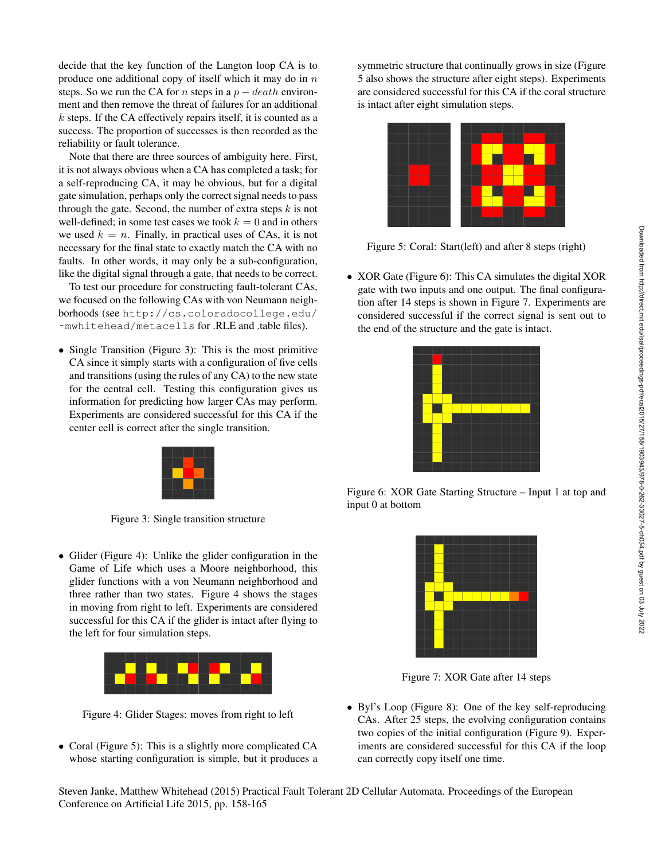decide that the key function of the Langton loop CA is to produce one additional copy of itself which it may do in  $n$ steps. So we run the CA for n steps in a  $p - death$  environment and then remove the threat of failures for an additional  $k$  steps. If the CA effectively repairs itself, it is counted as a success. The proportion of successes is then recorded as the reliability or fault tolerance.

Note that there are three sources of ambiguity here. First, it is not always obvious when a CA has completed a task; for a self-reproducing CA, it may be obvious, but for a digital gate simulation, perhaps only the correct signal needs to pass through the gate. Second, the number of extra steps  $k$  is not well-defined; in some test cases we took  $k = 0$  and in others we used  $k = n$ . Finally, in practical uses of CAs, it is not necessary for the final state to exactly match the CA with no faults. In other words, it may only be a sub-configuration, like the digital signal through a gate, that needs to be correct.

To test our procedure for constructing fault-tolerant CAs, we focused on the following CAs with von Neumann neighborhoods (see http://cs.coloradocollege.edu/ ˜mwhitehead/metacells for .RLE and .table files).

• Single Transition (Figure 3): This is the most primitive CA since it simply starts with a configuration of five cells and transitions (using the rules of any CA) to the new state for the central cell. Testing this configuration gives us information for predicting how larger CAs may perform. Experiments are considered successful for this CA if the center cell is correct after the single transition.



Figure 3: Single transition structure

• Glider (Figure 4): Unlike the glider configuration in the Game of Life which uses a Moore neighborhood, this glider functions with a von Neumann neighborhood and three rather than two states. Figure 4 shows the stages in moving from right to left. Experiments are considered successful for this CA if the glider is intact after flying to the left for four simulation steps.



Figure 4: Glider Stages: moves from right to left

• Coral (Figure 5): This is a slightly more complicated CA whose starting configuration is simple, but it produces a

symmetric structure that continually grows in size (Figure 5 also shows the structure after eight steps). Experiments are considered successful for this CA if the coral structure is intact after eight simulation steps.



Figure 5: Coral: Start(left) and after 8 steps (right)

• XOR Gate (Figure 6): This CA simulates the digital XOR gate with two inputs and one output. The final configuration after 14 steps is shown in Figure 7. Experiments are considered successful if the correct signal is sent out to the end of the structure and the gate is intact.



Figure 6: XOR Gate Starting Structure – Input 1 at top and input 0 at bottom



Figure 7: XOR Gate after 14 steps

• Byl's Loop (Figure 8): One of the key self-reproducing CAs. After 25 steps, the evolving configuration contains two copies of the initial configuration (Figure 9). Experiments are considered successful for this CA if the loop can correctly copy itself one time.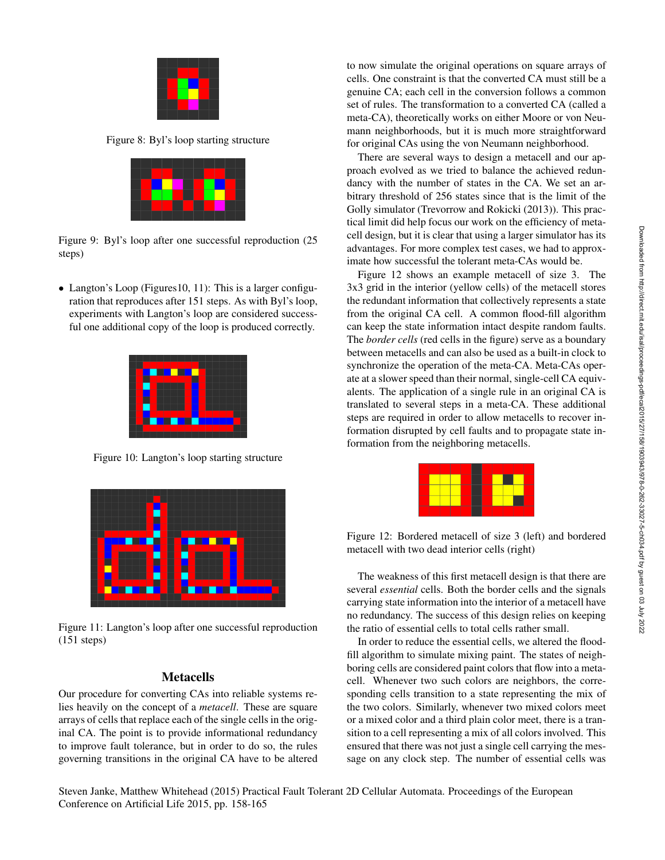

Figure 8: Byl's loop starting structure



Figure 9: Byl's loop after one successful reproduction (25 steps)

• Langton's Loop (Figures10, 11): This is a larger configuration that reproduces after 151 steps. As with Byl's loop, experiments with Langton's loop are considered successful one additional copy of the loop is produced correctly.



Figure 10: Langton's loop starting structure



Figure 11: Langton's loop after one successful reproduction (151 steps)

# Metacells

Our procedure for converting CAs into reliable systems relies heavily on the concept of a *metacell*. These are square arrays of cells that replace each of the single cells in the original CA. The point is to provide informational redundancy to improve fault tolerance, but in order to do so, the rules governing transitions in the original CA have to be altered

to now simulate the original operations on square arrays of cells. One constraint is that the converted CA must still be a genuine CA; each cell in the conversion follows a common set of rules. The transformation to a converted CA (called a meta-CA), theoretically works on either Moore or von Neumann neighborhoods, but it is much more straightforward for original CAs using the von Neumann neighborhood.

There are several ways to design a metacell and our approach evolved as we tried to balance the achieved redundancy with the number of states in the CA. We set an arbitrary threshold of 256 states since that is the limit of the Golly simulator (Trevorrow and Rokicki (2013)). This practical limit did help focus our work on the efficiency of metacell design, but it is clear that using a larger simulator has its advantages. For more complex test cases, we had to approximate how successful the tolerant meta-CAs would be.

Figure 12 shows an example metacell of size 3. The 3x3 grid in the interior (yellow cells) of the metacell stores the redundant information that collectively represents a state from the original CA cell. A common flood-fill algorithm can keep the state information intact despite random faults. The *border cells* (red cells in the figure) serve as a boundary between metacells and can also be used as a built-in clock to synchronize the operation of the meta-CA. Meta-CAs operate at a slower speed than their normal, single-cell CA equivalents. The application of a single rule in an original CA is translated to several steps in a meta-CA. These additional steps are required in order to allow metacells to recover information disrupted by cell faults and to propagate state information from the neighboring metacells.

| $\mathcal{L}(\mathcal{L})$ and $\mathcal{L}(\mathcal{L})$ and $\mathcal{L}(\mathcal{L})$ and $\mathcal{L}(\mathcal{L})$ and $\mathcal{L}(\mathcal{L})$ | <b>Service Service</b>    |  |  |                        |                        |  |
|--------------------------------------------------------------------------------------------------------------------------------------------------------|---------------------------|--|--|------------------------|------------------------|--|
|                                                                                                                                                        | <b>The Common Service</b> |  |  | <b>Service Service</b> | <b>Service Service</b> |  |
| <b>Service Service</b><br>___                                                                                                                          |                           |  |  |                        |                        |  |
| <b>Service Service</b>                                                                                                                                 |                           |  |  |                        |                        |  |

Figure 12: Bordered metacell of size 3 (left) and bordered metacell with two dead interior cells (right)

The weakness of this first metacell design is that there are several *essential* cells. Both the border cells and the signals carrying state information into the interior of a metacell have no redundancy. The success of this design relies on keeping the ratio of essential cells to total cells rather small.

In order to reduce the essential cells, we altered the floodfill algorithm to simulate mixing paint. The states of neighboring cells are considered paint colors that flow into a metacell. Whenever two such colors are neighbors, the corresponding cells transition to a state representing the mix of the two colors. Similarly, whenever two mixed colors meet or a mixed color and a third plain color meet, there is a transition to a cell representing a mix of all colors involved. This ensured that there was not just a single cell carrying the message on any clock step. The number of essential cells was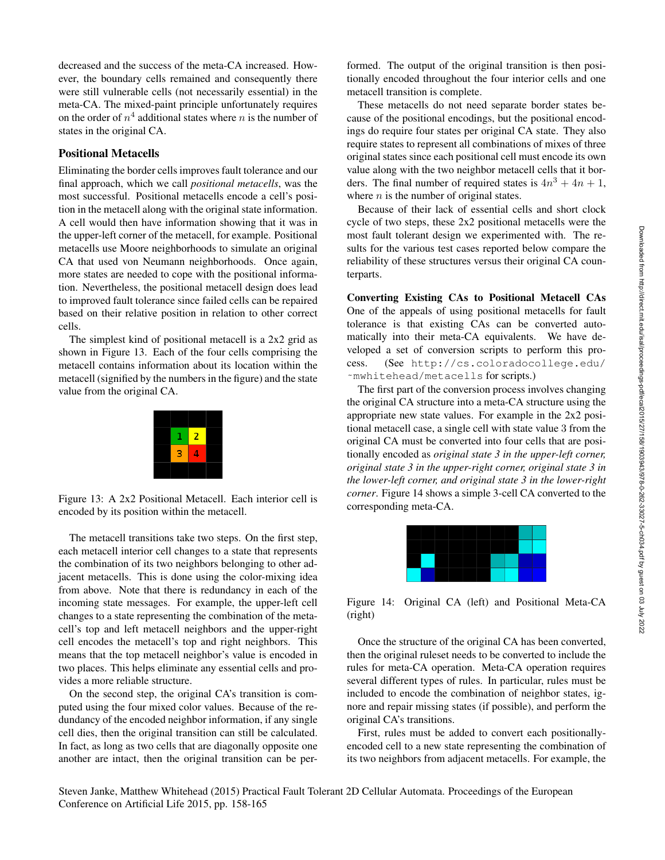decreased and the success of the meta-CA increased. However, the boundary cells remained and consequently there were still vulnerable cells (not necessarily essential) in the meta-CA. The mixed-paint principle unfortunately requires on the order of  $n<sup>4</sup>$  additional states where n is the number of states in the original CA.

#### Positional Metacells

Eliminating the border cells improves fault tolerance and our final approach, which we call *positional metacells*, was the most successful. Positional metacells encode a cell's position in the metacell along with the original state information. A cell would then have information showing that it was in the upper-left corner of the metacell, for example. Positional metacells use Moore neighborhoods to simulate an original CA that used von Neumann neighborhoods. Once again, more states are needed to cope with the positional information. Nevertheless, the positional metacell design does lead to improved fault tolerance since failed cells can be repaired based on their relative position in relation to other correct cells.

The simplest kind of positional metacell is a 2x2 grid as shown in Figure 13. Each of the four cells comprising the metacell contains information about its location within the metacell (signified by the numbers in the figure) and the state value from the original CA.

| п | $\overline{\mathbf{2}}$ |  |
|---|-------------------------|--|
| 6 | 4                       |  |
|   |                         |  |

Figure 13: A 2x2 Positional Metacell. Each interior cell is encoded by its position within the metacell.

The metacell transitions take two steps. On the first step, each metacell interior cell changes to a state that represents the combination of its two neighbors belonging to other adjacent metacells. This is done using the color-mixing idea from above. Note that there is redundancy in each of the incoming state messages. For example, the upper-left cell changes to a state representing the combination of the metacell's top and left metacell neighbors and the upper-right cell encodes the metacell's top and right neighbors. This means that the top metacell neighbor's value is encoded in two places. This helps eliminate any essential cells and provides a more reliable structure.

On the second step, the original CA's transition is computed using the four mixed color values. Because of the redundancy of the encoded neighbor information, if any single cell dies, then the original transition can still be calculated. In fact, as long as two cells that are diagonally opposite one another are intact, then the original transition can be performed. The output of the original transition is then positionally encoded throughout the four interior cells and one metacell transition is complete.

These metacells do not need separate border states because of the positional encodings, but the positional encodings do require four states per original CA state. They also require states to represent all combinations of mixes of three original states since each positional cell must encode its own value along with the two neighbor metacell cells that it borders. The final number of required states is  $4n^3 + 4n + 1$ , where  $n$  is the number of original states.

Because of their lack of essential cells and short clock cycle of two steps, these 2x2 positional metacells were the most fault tolerant design we experimented with. The results for the various test cases reported below compare the reliability of these structures versus their original CA counterparts.

Converting Existing CAs to Positional Metacell CAs One of the appeals of using positional metacells for fault tolerance is that existing CAs can be converted automatically into their meta-CA equivalents. We have developed a set of conversion scripts to perform this process. (See http://cs.coloradocollege.edu/ ˜mwhitehead/metacells for scripts.)

The first part of the conversion process involves changing the original CA structure into a meta-CA structure using the appropriate new state values. For example in the 2x2 positional metacell case, a single cell with state value 3 from the original CA must be converted into four cells that are positionally encoded as *original state 3 in the upper-left corner, original state 3 in the upper-right corner, original state 3 in the lower-left corner, and original state 3 in the lower-right corner*. Figure 14 shows a simple 3-cell CA converted to the corresponding meta-CA.



Figure 14: Original CA (left) and Positional Meta-CA (right)

Once the structure of the original CA has been converted, then the original ruleset needs to be converted to include the rules for meta-CA operation. Meta-CA operation requires several different types of rules. In particular, rules must be included to encode the combination of neighbor states, ignore and repair missing states (if possible), and perform the original CA's transitions.

First, rules must be added to convert each positionallyencoded cell to a new state representing the combination of its two neighbors from adjacent metacells. For example, the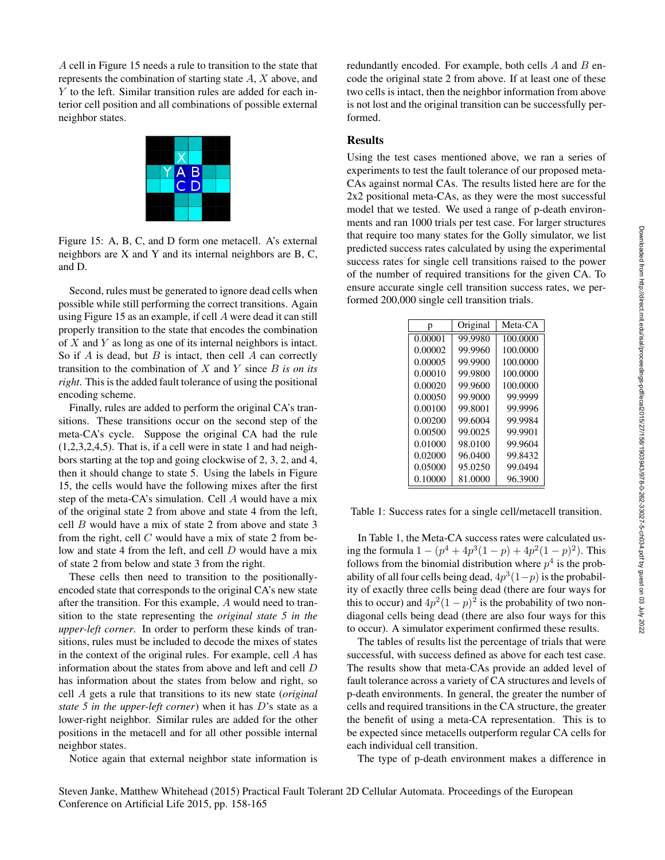A cell in Figure 15 needs a rule to transition to the state that represents the combination of starting state A, X above, and Y to the left. Similar transition rules are added for each interior cell position and all combinations of possible external neighbor states.



Figure 15: A, B, C, and D form one metacell. A's external neighbors are X and Y and its internal neighbors are B, C, and D.

Second, rules must be generated to ignore dead cells when possible while still performing the correct transitions. Again using Figure 15 as an example, if cell A were dead it can still properly transition to the state that encodes the combination of  $X$  and  $Y$  as long as one of its internal neighbors is intact. So if A is dead, but B is intact, then cell A can correctly transition to the combination of X and Y since B *is on its right*. This is the added fault tolerance of using the positional encoding scheme.

Finally, rules are added to perform the original CA's transitions. These transitions occur on the second step of the meta-CA's cycle. Suppose the original CA had the rule  $(1,2,3,2,4,5)$ . That is, if a cell were in state 1 and had neighbors starting at the top and going clockwise of 2, 3, 2, and 4, then it should change to state 5. Using the labels in Figure 15, the cells would have the following mixes after the first step of the meta-CA's simulation. Cell A would have a mix of the original state 2 from above and state 4 from the left, cell B would have a mix of state 2 from above and state 3 from the right, cell  $C$  would have a mix of state 2 from below and state 4 from the left, and cell D would have a mix of state 2 from below and state 3 from the right.

These cells then need to transition to the positionallyencoded state that corresponds to the original CA's new state after the transition. For this example, A would need to transition to the state representing the *original state 5 in the upper-left corner*. In order to perform these kinds of transitions, rules must be included to decode the mixes of states in the context of the original rules. For example, cell  $A$  has information about the states from above and left and cell D has information about the states from below and right, so cell A gets a rule that transitions to its new state (*original state 5 in the upper-left corner*) when it has D's state as a lower-right neighbor. Similar rules are added for the other positions in the metacell and for all other possible internal neighbor states.

Notice again that external neighbor state information is

redundantly encoded. For example, both cells  $A$  and  $B$  encode the original state 2 from above. If at least one of these two cells is intact, then the neighbor information from above is not lost and the original transition can be successfully performed.

#### **Results**

Using the test cases mentioned above, we ran a series of experiments to test the fault tolerance of our proposed meta-CAs against normal CAs. The results listed here are for the 2x2 positional meta-CAs, as they were the most successful model that we tested. We used a range of p-death environments and ran 1000 trials per test case. For larger structures that require too many states for the Golly simulator, we list predicted success rates calculated by using the experimental success rates for single cell transitions raised to the power of the number of required transitions for the given CA. To ensure accurate single cell transition success rates, we performed 200,000 single cell transition trials.

| p       | Original | $Meta-CA$ |
|---------|----------|-----------|
| 0.00001 | 99.9980  | 100.0000  |
| 0.00002 | 99.9960  | 100.0000  |
| 0.00005 | 99.9900  | 100.0000  |
| 0.00010 | 99.9800  | 100.0000  |
| 0.00020 | 99.9600  | 100.0000  |
| 0.00050 | 99.9000  | 99.9999   |
| 0.00100 | 99.8001  | 99.9996   |
| 0.00200 | 99.6004  | 99.9984   |
| 0.00500 | 99.0025  | 99.9901   |
| 0.01000 | 98.0100  | 99.9604   |
| 0.02000 | 96.0400  | 99.8432   |
| 0.05000 | 95.0250  | 99.0494   |
| 0.10000 | 81.0000  | 96.3900   |

Table 1: Success rates for a single cell/metacell transition.

In Table 1, the Meta-CA success rates were calculated using the formula  $1 - (p^4 + 4p^3(1-p) + 4p^2(1-p)^2)$ . This follows from the binomial distribution where  $p<sup>4</sup>$  is the probability of all four cells being dead,  $4p^3(1-p)$  is the probability of exactly three cells being dead (there are four ways for this to occur) and  $4p^2(1-p)^2$  is the probability of two nondiagonal cells being dead (there are also four ways for this to occur). A simulator experiment confirmed these results.

The tables of results list the percentage of trials that were successful, with success defined as above for each test case. The results show that meta-CAs provide an added level of fault tolerance across a variety of CA structures and levels of p-death environments. In general, the greater the number of cells and required transitions in the CA structure, the greater the benefit of using a meta-CA representation. This is to be expected since metacells outperform regular CA cells for each individual cell transition.

The type of p-death environment makes a difference in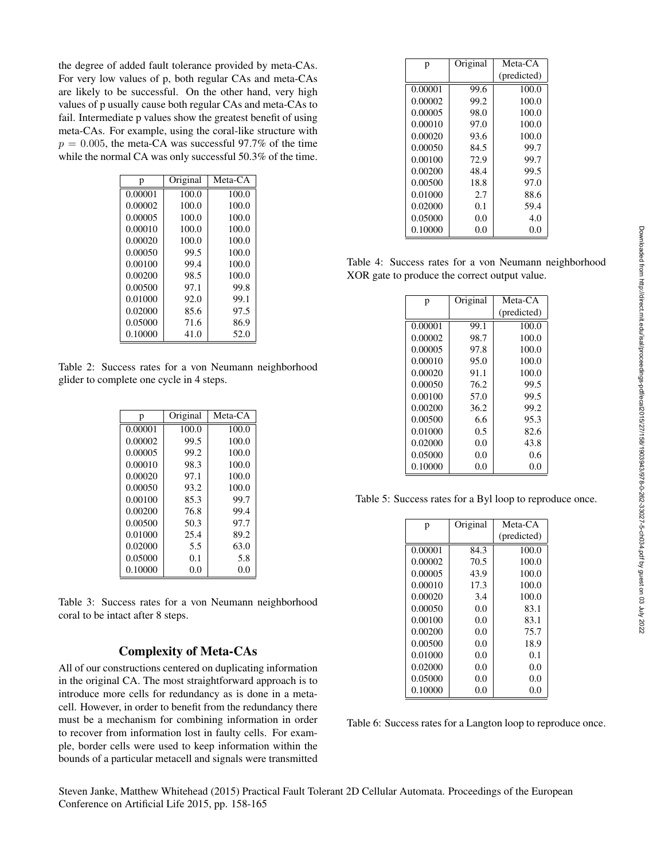the degree of added fault tolerance provided by meta-CAs. For very low values of p, both regular CAs and meta-CAs are likely to be successful. On the other hand, very high values of p usually cause both regular CAs and meta-CAs to fail. Intermediate p values show the greatest benefit of using meta-CAs. For example, using the coral-like structure with  $p = 0.005$ , the meta-CA was successful 97.7% of the time while the normal CA was only successful 50.3% of the time.

| p       | Original | Meta-CA |
|---------|----------|---------|
| 0.00001 | 100.0    | 100.0   |
| 0.00002 | 100.0    | 100.0   |
| 0.00005 | 100.0    | 100.0   |
| 0.00010 | 100.0    | 100.0   |
| 0.00020 | 100.0    | 100.0   |
| 0.00050 | 99.5     | 100.0   |
| 0.00100 | 99.4     | 100.0   |
| 0.00200 | 98.5     | 100.0   |
| 0.00500 | 97.1     | 99.8    |
| 0.01000 | 92.0     | 99.1    |
| 0.02000 | 85.6     | 97.5    |
| 0.05000 | 71.6     | 86.9    |
| 0.10000 | 41.0     | 52.0    |

Table 2: Success rates for a von Neumann neighborhood glider to complete one cycle in 4 steps.

| p       | Original | Meta-CA |
|---------|----------|---------|
| 0.00001 | 100.0    | 100.0   |
| 0.00002 | 99.5     | 100.0   |
| 0.00005 | 99.2     | 100.0   |
| 0.00010 | 98.3     | 100.0   |
| 0.00020 | 97.1     | 100.0   |
| 0.00050 | 93.2     | 100.0   |
| 0.00100 | 85.3     | 99.7    |
| 0.00200 | 76.8     | 99.4    |
| 0.00500 | 50.3     | 97.7    |
| 0.01000 | 25.4     | 89.2    |
| 0.02000 | 5.5      | 63.0    |
| 0.05000 | 0.1      | 5.8     |
| 0.10000 | 0.0      | 0.0     |

Table 3: Success rates for a von Neumann neighborhood coral to be intact after 8 steps.

# Complexity of Meta-CAs

All of our constructions centered on duplicating information in the original CA. The most straightforward approach is to introduce more cells for redundancy as is done in a metacell. However, in order to benefit from the redundancy there must be a mechanism for combining information in order to recover from information lost in faulty cells. For example, border cells were used to keep information within the bounds of a particular metacell and signals were transmitted

| p       | Original | Meta-CA     |
|---------|----------|-------------|
|         |          | (predicted) |
| 0.00001 | 99.6     | 100.0       |
| 0.00002 | 99.2     | 100.0       |
| 0.00005 | 98.0     | 100.0       |
| 0.00010 | 97.0     | 100.0       |
| 0.00020 | 93.6     | 100.0       |
| 0.00050 | 84.5     | 99.7        |
| 0.00100 | 72.9     | 99.7        |
| 0.00200 | 48.4     | 99.5        |
| 0.00500 | 18.8     | 97.0        |
| 0.01000 | 2.7      | 88.6        |
| 0.02000 | 0.1      | 59.4        |
| 0.05000 | 0.0      | 4.0         |
| 0.10000 | 0.0      | 0.0         |

Table 4: Success rates for a von Neumann neighborhood XOR gate to produce the correct output value.

| p       | Original | $Meta-CA$   |
|---------|----------|-------------|
|         |          | (predicted) |
| 0.00001 | 99.1     | 100.0       |
| 0.00002 | 98.7     | 100.0       |
| 0.00005 | 97.8     | 100.0       |
| 0.00010 | 95.0     | 100.0       |
| 0.00020 | 91.1     | 100.0       |
| 0.00050 | 76.2     | 99.5        |
| 0.00100 | 57.0     | 99.5        |
| 0.00200 | 36.2     | 99.2        |
| 0.00500 | 6.6      | 95.3        |
| 0.01000 | 0.5      | 82.6        |
| 0.02000 | 0.0      | 43.8        |
| 0.05000 | 0.0      | 0.6         |
| 0.10000 | 0.0      | 0.0         |

Table 5: Success rates for a Byl loop to reproduce once.

| p       | Original | $Meta-CA$   |
|---------|----------|-------------|
|         |          | (predicted) |
| 0.00001 | 84.3     | 100.0       |
| 0.00002 | 70.5     | 100.0       |
| 0.00005 | 43.9     | 100.0       |
| 0.00010 | 17.3     | 100.0       |
| 0.00020 | 3.4      | 100.0       |
| 0.00050 | 0.0      | 83.1        |
| 0.00100 | 0.0      | 83.1        |
| 0.00200 | 0.0      | 75.7        |
| 0.00500 | 0.0      | 18.9        |
| 0.01000 | 0.0      | 0.1         |
| 0.02000 | 0.0      | 0.0         |
| 0.05000 | 0.0      | 0.0         |
| 0.10000 | 0.0      | 0.0         |

Table 6: Success rates for a Langton loop to reproduce once.